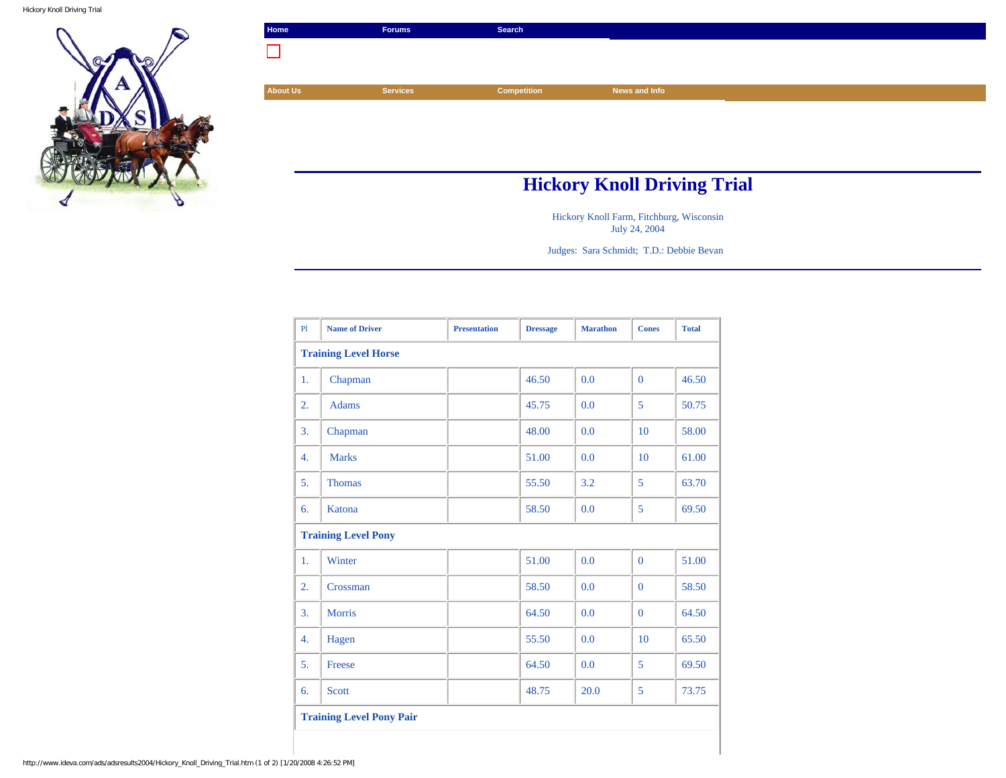Hickory Knoll Driving Trial



| Home                               | <b>Forums</b>   | Search             |               |  |  |
|------------------------------------|-----------------|--------------------|---------------|--|--|
|                                    |                 |                    |               |  |  |
|                                    |                 |                    |               |  |  |
| <b>About Us</b>                    | <b>Services</b> | <b>Competition</b> | News and Info |  |  |
|                                    |                 |                    |               |  |  |
|                                    |                 |                    |               |  |  |
|                                    |                 |                    |               |  |  |
|                                    |                 |                    |               |  |  |
| <b>Hickory Knoll Driving Trial</b> |                 |                    |               |  |  |

Hickory Knoll Farm, Fitchburg, Wisconsin July 24, 2004

Judges: Sara Schmidt; T.D.: Debbie Bevan

| P1                              | <b>Name of Driver</b> | <b>Presentation</b> | <b>Dressage</b> | <b>Marathon</b> | <b>Cones</b> | <b>Total</b> |
|---------------------------------|-----------------------|---------------------|-----------------|-----------------|--------------|--------------|
| <b>Training Level Horse</b>     |                       |                     |                 |                 |              |              |
| 1.                              | Chapman               |                     | 46.50           | 0.0             | $\Omega$     | 46.50        |
| 2.                              | <b>Adams</b>          |                     | 45.75           | 0.0             | 5            | 50.75        |
| 3.                              | Chapman               |                     | 48.00           | 0.0             | 10           | 58.00        |
| 4.                              | <b>Marks</b>          |                     | 51.00           | 0.0             | 10           | 61.00        |
| 5.                              | <b>Thomas</b>         |                     | 55.50           | 3.2             | 5            | 63.70        |
| 6.                              | Katona                |                     | 58.50           | 0.0             | 5            | 69.50        |
| <b>Training Level Pony</b>      |                       |                     |                 |                 |              |              |
| 1.                              | Winter                |                     | 51.00           | 0.0             | $\mathbf{0}$ | 51.00        |
| 2.                              | Crossman              |                     | 58.50           | 0.0             | $\Omega$     | 58.50        |
| 3.                              | <b>Morris</b>         |                     | 64.50           | 0.0             | $\Omega$     | 64.50        |
| 4.                              | Hagen                 |                     | 55.50           | 0.0             | 10           | 65.50        |
| 5.                              | Freese                |                     | 64.50           | 0.0             | 5            | 69.50        |
| 6.                              | <b>Scott</b>          |                     | 48.75           | 20.0            | 5            | 73.75        |
| <b>Training Level Pony Pair</b> |                       |                     |                 |                 |              |              |
|                                 |                       |                     |                 |                 |              |              |